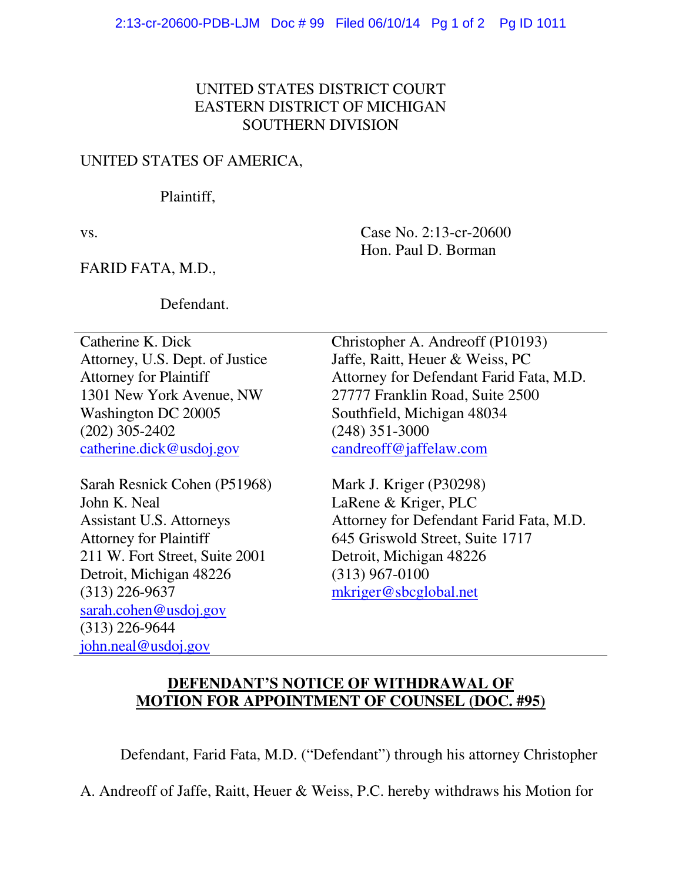## UNITED STATES DISTRICT COURT EASTERN DISTRICT OF MICHIGAN SOUTHERN DIVISION

### UNITED STATES OF AMERICA,

#### Plaintiff,

vs. Case No. 2:13-cr-20600 Hon. Paul D. Borman

FARID FATA, M.D.,

Defendant.

Catherine K. Dick Attorney, U.S. Dept. of Justice Attorney for Plaintiff 1301 New York Avenue, NW Washington DC 20005 (202) 305-2402 catherine.dick@usdoj.gov

Sarah Resnick Cohen (P51968) John K. Neal Assistant U.S. Attorneys Attorney for Plaintiff 211 W. Fort Street, Suite 2001 Detroit, Michigan 48226 (313) 226-9637 sarah.cohen@usdoj.gov (313) 226-9644 john.neal@usdoj.gov

Christopher A. Andreoff (P10193) Jaffe, Raitt, Heuer & Weiss, PC Attorney for Defendant Farid Fata, M.D. 27777 Franklin Road, Suite 2500 Southfield, Michigan 48034 (248) 351-3000 candreoff@jaffelaw.com

Mark J. Kriger (P30298) LaRene & Kriger, PLC Attorney for Defendant Farid Fata, M.D. 645 Griswold Street, Suite 1717 Detroit, Michigan 48226 (313) 967-0100 mkriger@sbcglobal.net

# **DEFENDANT'S NOTICE OF WITHDRAWAL OF MOTION FOR APPOINTMENT OF COUNSEL (DOC. #95)**

Defendant, Farid Fata, M.D. ("Defendant") through his attorney Christopher

A. Andreoff of Jaffe, Raitt, Heuer & Weiss, P.C. hereby withdraws his Motion for